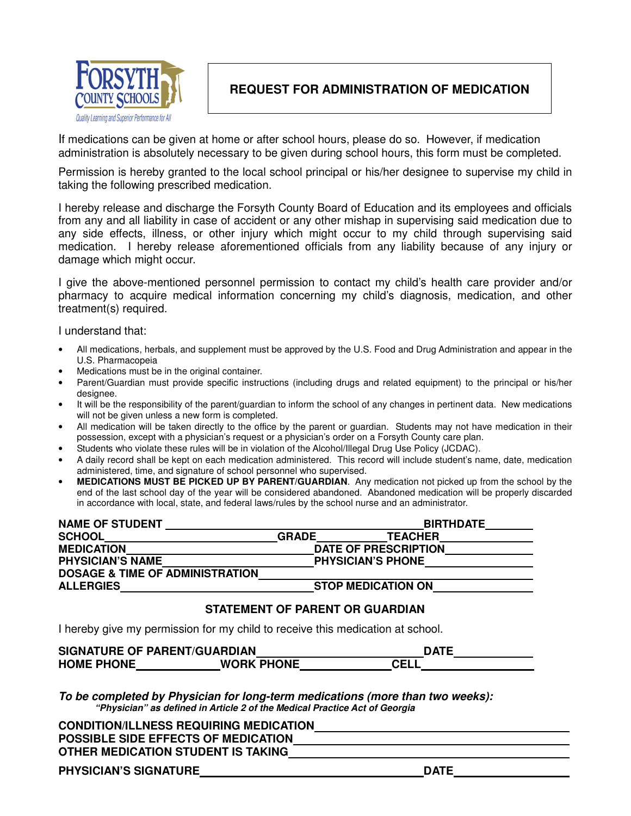

## **REQUEST FOR ADMINISTRATION OF MEDICATION**

 If medications can be given at home or after school hours, please do so. However, if medication administration is absolutely necessary to be given during school hours, this form must be completed.

 Permission is hereby granted to the local school principal or his/her designee to supervise my child in taking the following prescribed medication.

 I hereby release and discharge the Forsyth County Board of Education and its employees and officials from any and all liability in case of accident or any other mishap in supervising said medication due to any side effects, illness, or other injury which might occur to my child through supervising said medication. I hereby release aforementioned officials from any liability because of any injury or damage which might occur.

 I give the above-mentioned personnel permission to contact my child's health care provider and/or pharmacy to acquire medical information concerning my child's diagnosis, medication, and other treatment(s) required.

I understand that:

- U.S. Pharmacopeia • All medications, herbals, and supplement must be approved by the U.S. Food and Drug Administration and appear in the
- U.S. Pharmacopeia • Medications must be in the original container.
- • Parent/Guardian must provide specific instructions (including drugs and related equipment) to the principal or his/her designee.
- $\bullet$  will not be given unless a new form is completed. It will be the responsibility of the parent/guardian to inform the school of any changes in pertinent data. New medications
- $\blacksquare$  possession, except with a physician's request or a physician's order on a Forsyth County care plan. All medication will be taken directly to the office by the parent or guardian. Students may not have medication in their
- • Students who violate these rules will be in violation of the Alcohol/Illegal Drug Use Policy (JCDAC).
- administered, time, and signature of school personnel who supervised. A daily record shall be kept on each medication administered. This record will include student's name, date, medication
- MEDICATIONS MUST BE PICKED UP BY PARENT/GUARDIAN. Any medication not picked up from the school by the end of the last school day of the year will be considered abandoned. Abandoned medication will be properly discarded in accordance with local, state, and federal laws/rules by the school nurse and an administrator.

| <b>NAME OF STUDENT</b>                     |              | <b>BIRTHDATE</b>          |
|--------------------------------------------|--------------|---------------------------|
| <b>SCHOOL</b>                              | <b>GRADE</b> | <b>TEACHER</b>            |
| <b>MEDICATION</b>                          |              | DATE OF PRESCRIPTION      |
| <b>PHYSICIAN'S NAME</b>                    |              | <b>PHYSICIAN'S PHONE</b>  |
| <b>DOSAGE &amp; TIME OF ADMINISTRATION</b> |              |                           |
| <b>ALLERGIES</b>                           |              | <b>STOP MEDICATION ON</b> |

## **STATEMENT OF PARENT OR GUARDIAN**

I hereby give my permission for my child to receive this medication at school.

|                   | <b>SIGNATURE OF PARENT/GUARDIAN</b> | <b>DATE</b> |
|-------------------|-------------------------------------|-------------|
| <b>HOME PHONE</b> | <b>WORK PHONE</b>                   | <b>CELL</b> |

 **To be completed by Physician for long-term medications (more than two weeks): "Physician" as defined in Article 2 of the Medical Practice Act of Georgia** 

| <b>CONDITION/ILLNESS REQUIRING MEDICATION</b> |  |
|-----------------------------------------------|--|
| <b>POSSIBLE SIDE EFFECTS OF MEDICATION</b>    |  |
| OTHER MEDICATION STUDENT IS TAKING            |  |
|                                               |  |

 **PHYSICIAN'S SIGNATURE DATE**